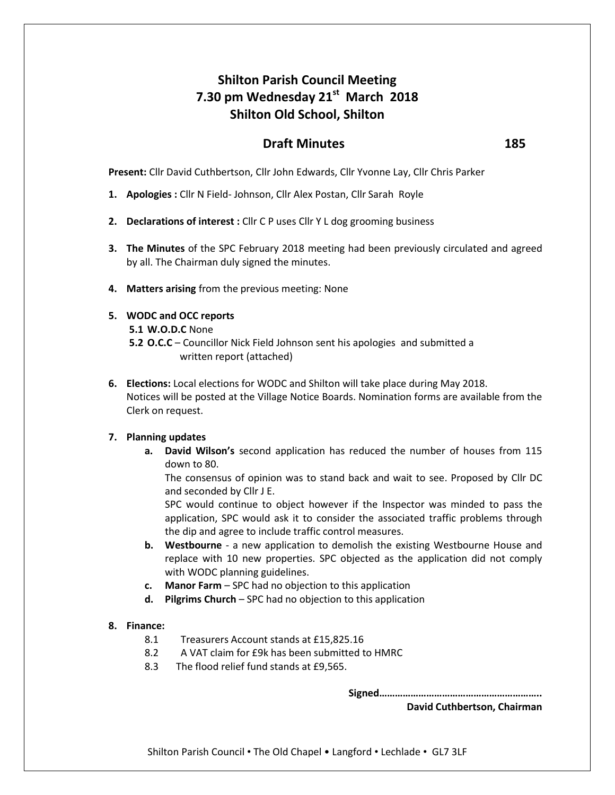# **Shilton Parish Council Meeting 7.30 pm Wednesday 21st March 2018 Shilton Old School, Shilton**

# **Draft Minutes 185**

**Present:** Cllr David Cuthbertson, Cllr John Edwards, Cllr Yvonne Lay, Cllr Chris Parker

- **1. Apologies :** Cllr N Field- Johnson, Cllr Alex Postan, Cllr Sarah Royle
- **2. Declarations of interest :** Cllr C P uses Cllr Y L dog grooming business
- **3. The Minutes** of the SPC February 2018 meeting had been previously circulated and agreed by all. The Chairman duly signed the minutes.
- **4. Matters arising** from the previous meeting: None

## **5. WODC and OCC reports**

**5.1 W.O.D.C** None

- **5.2 O.C.C** Councillor Nick Field Johnson sent his apologies and submitted a written report (attached)
- **6. Elections:** Local elections for WODC and Shilton will take place during May 2018. Notices will be posted at the Village Notice Boards. Nomination forms are available from the Clerk on request.

# **7. Planning updates**

**a. David Wilson's** second application has reduced the number of houses from 115 down to 80.

The consensus of opinion was to stand back and wait to see. Proposed by Cllr DC and seconded by Cllr J E.

SPC would continue to object however if the Inspector was minded to pass the application, SPC would ask it to consider the associated traffic problems through the dip and agree to include traffic control measures.

- **b. Westbourne** a new application to demolish the existing Westbourne House and replace with 10 new properties. SPC objected as the application did not comply with WODC planning guidelines.
- **c. Manor Farm** SPC had no objection to this application
- **d. Pilgrims Church** SPC had no objection to this application

# **8. Finance:**

- 8.1 Treasurers Account stands at £15,825.16
- 8.2 A VAT claim for £9k has been submitted to HMRC
- 8.3 The flood relief fund stands at £9,565.

**Signed……………………………………………………..**

**David Cuthbertson, Chairman**